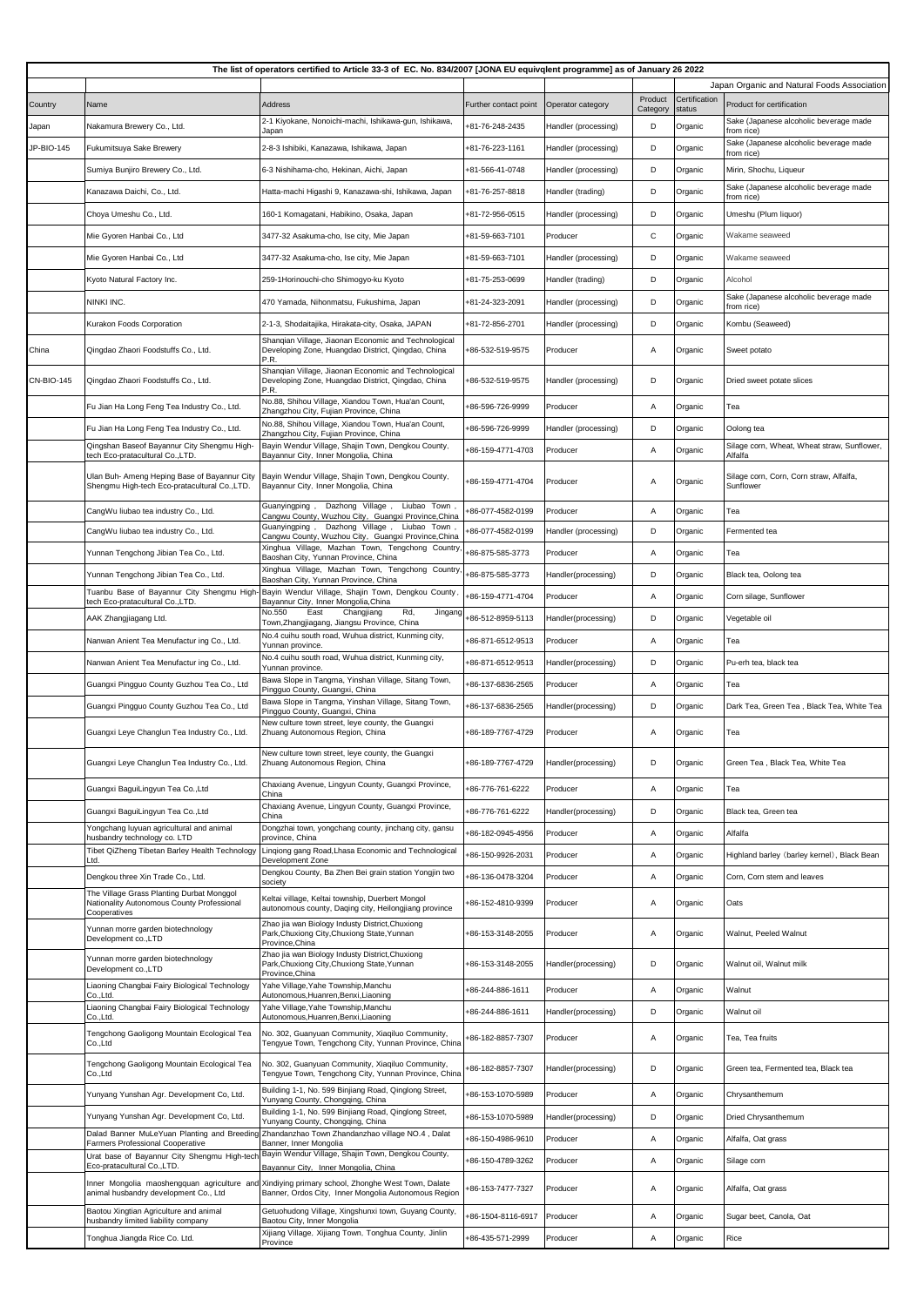| The list of operators certified to Article 33-3 of EC. No. 834/2007 [JONA EU equivqlent programme] as of January 26 2022 |                                                                                                         |                                                                                                                        |                       |                      |                     |                         |                                                        |  |  |
|--------------------------------------------------------------------------------------------------------------------------|---------------------------------------------------------------------------------------------------------|------------------------------------------------------------------------------------------------------------------------|-----------------------|----------------------|---------------------|-------------------------|--------------------------------------------------------|--|--|
|                                                                                                                          |                                                                                                         | Japan Organic and Natural Foods Association                                                                            |                       |                      |                     |                         |                                                        |  |  |
| Country                                                                                                                  | Name                                                                                                    | Address                                                                                                                | Further contact point | Operator category    | Product<br>Category | Certification<br>status | Product for certification                              |  |  |
| Japan                                                                                                                    | Nakamura Brewery Co., Ltd.                                                                              | 2-1 Kiyokane, Nonoichi-machi, Ishikawa-gun, Ishikawa,<br>Japan                                                         | +81-76-248-2435       | Handler (processing) | D                   | Organic                 | Sake (Japanese alcoholic beverage made<br>from rice)   |  |  |
| JP-BIO-145                                                                                                               | Fukumitsuya Sake Brewery                                                                                | 2-8-3 Ishibiki, Kanazawa, Ishikawa, Japan                                                                              | +81-76-223-1161       | Handler (processing) | D                   | Organic                 | Sake (Japanese alcoholic beverage made<br>from rice)   |  |  |
|                                                                                                                          | Sumiya Bunjiro Brewery Co., Ltd.                                                                        | 6-3 Nishihama-cho, Hekinan, Aichi, Japan                                                                               | +81-566-41-0748       | Handler (processing) | D                   | Organic                 | Mirin, Shochu, Liqueur                                 |  |  |
|                                                                                                                          | Kanazawa Daichi, Co., Ltd.                                                                              | Hatta-machi Higashi 9, Kanazawa-shi, Ishikawa, Japan                                                                   | +81-76-257-8818       | Handler (trading)    | D                   | Organic                 | Sake (Japanese alcoholic beverage made<br>from rice)   |  |  |
|                                                                                                                          | Choya Umeshu Co., Ltd.                                                                                  | 160-1 Komagatani, Habikino, Osaka, Japan                                                                               | +81-72-956-0515       | Handler (processing) | D                   | Organic                 | Umeshu (Plum liquor)                                   |  |  |
|                                                                                                                          | Mie Gyoren Hanbai Co., Ltd                                                                              | 3477-32 Asakuma-cho, Ise city, Mie Japan                                                                               | +81-59-663-7101       | Producer             | С                   | Organic                 | Wakame seaweed                                         |  |  |
|                                                                                                                          | Mie Gyoren Hanbai Co., Ltd                                                                              | 3477-32 Asakuma-cho, Ise city, Mie Japan                                                                               | +81-59-663-7101       | Handler (processing) | D                   | Organic                 | Wakame seaweed                                         |  |  |
|                                                                                                                          | Kyoto Natural Factory Inc.                                                                              | 259-1Horinouchi-cho Shimogyo-ku Kyoto                                                                                  | +81-75-253-0699       | Handler (trading)    | D                   | Organic                 | Alcohol                                                |  |  |
|                                                                                                                          | NINKI INC.                                                                                              | 470 Yamada, Nihonmatsu, Fukushima, Japan                                                                               | +81-24-323-2091       | Handler (processing) | D                   | Organic                 | Sake (Japanese alcoholic beverage made<br>from rice)   |  |  |
|                                                                                                                          | Kurakon Foods Corporation                                                                               | 2-1-3, Shodaitajika, Hirakata-city, Osaka, JAPAN                                                                       | +81-72-856-2701       | Handler (processing) | D                   | Organic                 | Kombu (Seaweed)                                        |  |  |
| China                                                                                                                    | Qingdao Zhaori Foodstuffs Co., Ltd.                                                                     | Shanqian Village, Jiaonan Economic and Technological<br>Developing Zone, Huangdao District, Qingdao, China<br>P.R.     | +86-532-519-9575      | Producer             | Α                   | Organic                 | Sweet potato                                           |  |  |
| <b>CN-BIO-145</b>                                                                                                        | Qingdao Zhaori Foodstuffs Co., Ltd.                                                                     | Shanqian Village, Jiaonan Economic and Technological<br>Developing Zone, Huangdao District, Qingdao, China<br>P.R.     | +86-532-519-9575      | Handler (processing) | D                   | Organic                 | Dried sweet potate slices                              |  |  |
|                                                                                                                          | Fu Jian Ha Long Feng Tea Industry Co., Ltd.                                                             | No.88, Shihou Village, Xiandou Town, Hua'an Count,<br>Zhangzhou City, Fujian Province, China                           | +86-596-726-9999      | Producer             | Α                   | Organic                 | Теа                                                    |  |  |
|                                                                                                                          | Fu Jian Ha Long Feng Tea Industry Co., Ltd.                                                             | No.88, Shihou Village, Xiandou Town, Hua'an Count,<br>Zhangzhou City, Fujian Province, China                           | +86-596-726-9999      | Handler (processing) | D                   | Organic                 | Oolong tea                                             |  |  |
|                                                                                                                          | Qingshan Baseof Bayannur City Shengmu High-<br>tech Eco-pratacultural Co.,LTD.                          | Bayin Wendur Village, Shajin Town, Dengkou County,<br>Bayannur City, Inner Mongolia, China                             | +86-159-4771-4703     | Producer             | Α                   | Organic                 | Silage corn, Wheat, Wheat straw, Sunflower,<br>Alfalfa |  |  |
|                                                                                                                          | Ulan Buh- Ameng Heping Base of Bayannur City<br>Shengmu High-tech Eco-pratacultural Co., LTD.           | Bayin Wendur Village, Shajin Town, Dengkou County,<br>Bayannur City, Inner Mongolia, China                             | +86-159-4771-4704     | Producer             | Α                   | Organic                 | Silage corn, Corn, Corn straw, Alfalfa,<br>Sunflower   |  |  |
|                                                                                                                          | CangWu liubao tea industry Co., Ltd.                                                                    | Guanyingping, Dazhong Village, Liubao Town<br>Cangwu County, Wuzhou City, Guangxi Province, China                      | +86-077-4582-0199     | Producer             | Α                   | Organic                 | Теа                                                    |  |  |
|                                                                                                                          | CangWu liubao tea industry Co., Ltd.                                                                    | Guanyingping, Dazhong Village, Liubao Town,<br>Cangwu County, Wuzhou City, Guangxi Province, China                     | -86-077-4582-0199     | Handler (processing) | D                   | Organic                 | Fermented tea                                          |  |  |
|                                                                                                                          | Yunnan Tengchong Jibian Tea Co., Ltd.                                                                   | Xinghua Village, Mazhan Town, Tengchong Country<br>Baoshan City, Yunnan Province, China                                | +86-875-585-3773      | Producer             | Α                   | Organic                 | Теа                                                    |  |  |
|                                                                                                                          | Yunnan Tengchong Jibian Tea Co., Ltd.                                                                   | Xinghua Village, Mazhan Town, Tengchong Country<br>Baoshan City, Yunnan Province, China                                | +86-875-585-3773      | Handler(processing)  | D                   | Organic                 | Black tea, Oolong tea                                  |  |  |
|                                                                                                                          | Tuanbu Base of Bayannur City Shengmu High<br>tech Eco-pratacultural Co.,LTD.                            | Bayin Wendur Village, Shajin Town, Dengkou County<br>Bayannur City, Inner Mongolia, China                              | +86-159-4771-4704     | Producer             | Α                   | Organic                 | Corn silage, Sunflower                                 |  |  |
|                                                                                                                          | AAK Zhangjiagang Ltd.                                                                                   | No.550<br>East<br>Changjiang<br>Rd,<br>Jingang<br>Town,Zhangjiagang, Jiangsu Province, China                           | +86-512-8959-5113     | Handler(processing)  | D                   | Organic                 | Vegetable oil                                          |  |  |
|                                                                                                                          | Nanwan Anient Tea Menufactur ing Co., Ltd.                                                              | No.4 cuihu south road, Wuhua district, Kunming city,                                                                   | +86-871-6512-9513     | Producer             | Α                   | Organic                 | Теа                                                    |  |  |
|                                                                                                                          | Nanwan Anient Tea Menufactur ing Co., Ltd.                                                              | Yunnan province.<br>No.4 cuihu south road, Wuhua district, Kunming city,<br>Yunnan province.                           | +86-871-6512-9513     | Handler(processing)  | D                   | Organic                 | Pu-erh tea, black tea                                  |  |  |
|                                                                                                                          | Guangxi Pingguo County Guzhou Tea Co., Ltd                                                              | Bawa Slope in Tangma, Yinshan Village, Sitang Town,                                                                    | +86-137-6836-2565     | Producer             | Α                   | Organic                 | Геа                                                    |  |  |
|                                                                                                                          | Guangxi Pingguo County Guzhou Tea Co., Ltd                                                              | Pingguo County, Guangxi, China<br>Bawa Slope in Tangma, Yinshan Village, Sitang Town,                                  | -86-137-6836-2565     | Handler(processing)  | D                   | Organic                 | Dark Tea, Green Tea, Black Tea, White Tea              |  |  |
|                                                                                                                          | Guangxi Leye Changlun Tea Industry Co., Ltd.                                                            | Pingguo County, Guangxi, China<br>New culture town street, leye county, the Guangxi<br>Zhuang Autonomous Region, China | +86-189-7767-4729     | Producer             | Α                   | Organic                 | Tea                                                    |  |  |
|                                                                                                                          | Guangxi Leye Changlun Tea Industry Co., Ltd.                                                            | New culture town street, leye county, the Guangxi<br>Zhuang Autonomous Region, China                                   | +86-189-7767-4729     | Handler(processing)  | D                   | Organic                 | Green Tea, Black Tea, White Tea                        |  |  |
|                                                                                                                          | Guangxi BaguiLingyun Tea Co., Ltd                                                                       | Chaxiang Avenue, Lingyun County, Guangxi Province,<br>China                                                            | +86-776-761-6222      | Producer             | Α                   | Organic                 | Геа                                                    |  |  |
|                                                                                                                          | Guangxi BaguiLingyun Tea Co.,Ltd                                                                        | Chaxiang Avenue, Lingyun County, Guangxi Province,<br>China                                                            | +86-776-761-6222      | Handler(processing)  | D                   | Organic                 | Black tea, Green tea                                   |  |  |
|                                                                                                                          | Yongchang luyuan agricultural and animal<br>husbandry technology co. LTD                                | Dongzhai town, yongchang county, jinchang city, gansu<br>province, China                                               | +86-182-0945-4956     | Producer             | Α                   | Organic                 | Alfalfa                                                |  |  |
|                                                                                                                          | Tibet QiZheng Tibetan Barley Health Technology<br>Ltd.                                                  | Lingiong gang Road, Lhasa Economic and Technological<br>Development Zone                                               | +86-150-9926-2031     | Producer             | Α                   | Organic                 | Highland barley (barley kernel), Black Bean            |  |  |
|                                                                                                                          | Dengkou three Xin Trade Co., Ltd.                                                                       | Dengkou County, Ba Zhen Bei grain station Yongjin two<br>society                                                       | -86-136-0478-3204     | Producer             | Α                   | Organic                 | Corn, Corn stem and leaves                             |  |  |
|                                                                                                                          | The Village Grass Planting Durbat Monggol<br>Nationality Autonomous County Professional<br>Cooperatives | Keltai village, Keltai township, Duerbert Mongol<br>autonomous county, Daqing city, Heilongjiang province              | +86-152-4810-9399     | Producer             | Α                   | Organic                 | Oats                                                   |  |  |
|                                                                                                                          | Yunnan morre garden biotechnology<br>Development co., LTD                                               | Zhao jia wan Biology Industy District, Chuxiong<br>Park, Chuxiong City, Chuxiong State, Yunnan<br>Province, China      | +86-153-3148-2055     | Producer             | Α                   | Organic                 | Walnut, Peeled Walnut                                  |  |  |
|                                                                                                                          | Yunnan morre garden biotechnology<br>Development co., LTD                                               | Zhao jia wan Biology Industy District, Chuxiong<br>Park, Chuxiong City, Chuxiong State, Yunnan<br>Province, China      | +86-153-3148-2055     | Handler(processing)  | D                   | Organic                 | Walnut oil, Walnut milk                                |  |  |
|                                                                                                                          | Liaoning Changbai Fairy Biological Technology<br>Co.,Ltd.                                               | Yahe Village, Yahe Township, Manchu<br>Autonomous, Huanren, Benxi, Liaoning                                            | +86-244-886-1611      | Producer             | Α                   | Organic                 | Walnut                                                 |  |  |
|                                                                                                                          | Liaoning Changbai Fairy Biological Technology<br>Co.,Ltd.                                               | Yahe Village, Yahe Township, Manchu<br>Autonomous, Huanren, Benxi, Liaoning                                            | +86-244-886-1611      | Handler(processing)  | D                   | Organic                 | Walnut oil                                             |  |  |
|                                                                                                                          | Tengchong Gaoligong Mountain Ecological Tea<br>Co.,Ltd                                                  | No. 302, Guanyuan Community, Xiaqiluo Community,<br>Tengyue Town, Tengchong City, Yunnan Province, China               | +86-182-8857-7307     | Producer             | Α                   | Organic                 | Tea, Tea fruits                                        |  |  |
|                                                                                                                          | Tengchong Gaoligong Mountain Ecological Tea<br>Co.,Ltd                                                  | No. 302, Guanyuan Community, Xiaqiluo Community,<br>Tengyue Town, Tengchong City, Yunnan Province, China               | -86-182-8857-7307     | Handler(processing)  | D                   | Organic                 | Green tea, Fermented tea, Black tea                    |  |  |
|                                                                                                                          | Yunyang Yunshan Agr. Development Co, Ltd.                                                               | Building 1-1, No. 599 Binjiang Road, Qinglong Street,<br>Yunyang County, Chongqing, China                              | +86-153-1070-5989     | Producer             | Α                   | Organic                 | Chrysanthemum                                          |  |  |
|                                                                                                                          | Yunyang Yunshan Agr. Development Co, Ltd.                                                               | Building 1-1, No. 599 Binjiang Road, Qinglong Street,<br>Yunyang County, Chongqing, China                              | +86-153-1070-5989     | Handler(processing)  | D                   | Organic                 | Dried Chrysanthemum                                    |  |  |
|                                                                                                                          | Dalad Banner MuLeYuan Planting and Breeding<br>Farmers Professional Cooperative                         | Zhandanzhao Town Zhandanzhao village NO.4, Dalat<br>Banner, Inner Mongolia                                             | +86-150-4986-9610     | Producer             | Α                   | Organic                 | Alfalfa, Oat grass                                     |  |  |
|                                                                                                                          | Urat base of Bayannur City Shengmu High-tech<br>Eco-pratacultural Co., LTD.                             | Bayin Wendur Village, Shajin Town, Dengkou County,<br>Bayannur City, Inner Mongolia, China                             | +86-150-4789-3262     | Producer             | Α                   | Organic                 | Silage corn                                            |  |  |
|                                                                                                                          | Inner Mongolia maoshengquan agriculture and<br>animal husbandry development Co., Ltd                    | Xindiying primary school, Zhonghe West Town, Dalate<br>Banner, Ordos City, Inner Mongolia Autonomous Region            | +86-153-7477-7327     | Producer             | Α                   | Organic                 | Alfalfa, Oat grass                                     |  |  |
|                                                                                                                          | Baotou Xingtian Agriculture and animal<br>husbandry limited liability company                           | Getuohudong Village, Xingshunxi town, Guyang County<br>Baotou City, Inner Mongolia                                     | +86-1504-8116-6917    | Producer             | Α                   | Organic                 | Sugar beet, Canola, Oat                                |  |  |
|                                                                                                                          | Tonghua Jiangda Rice Co. Ltd.                                                                           | Xijiang Village, Xijiang Town, Tonghua County, Jinlin<br>Province                                                      | +86-435-571-2999      | Producer             | Α                   | Organic                 | Rice                                                   |  |  |